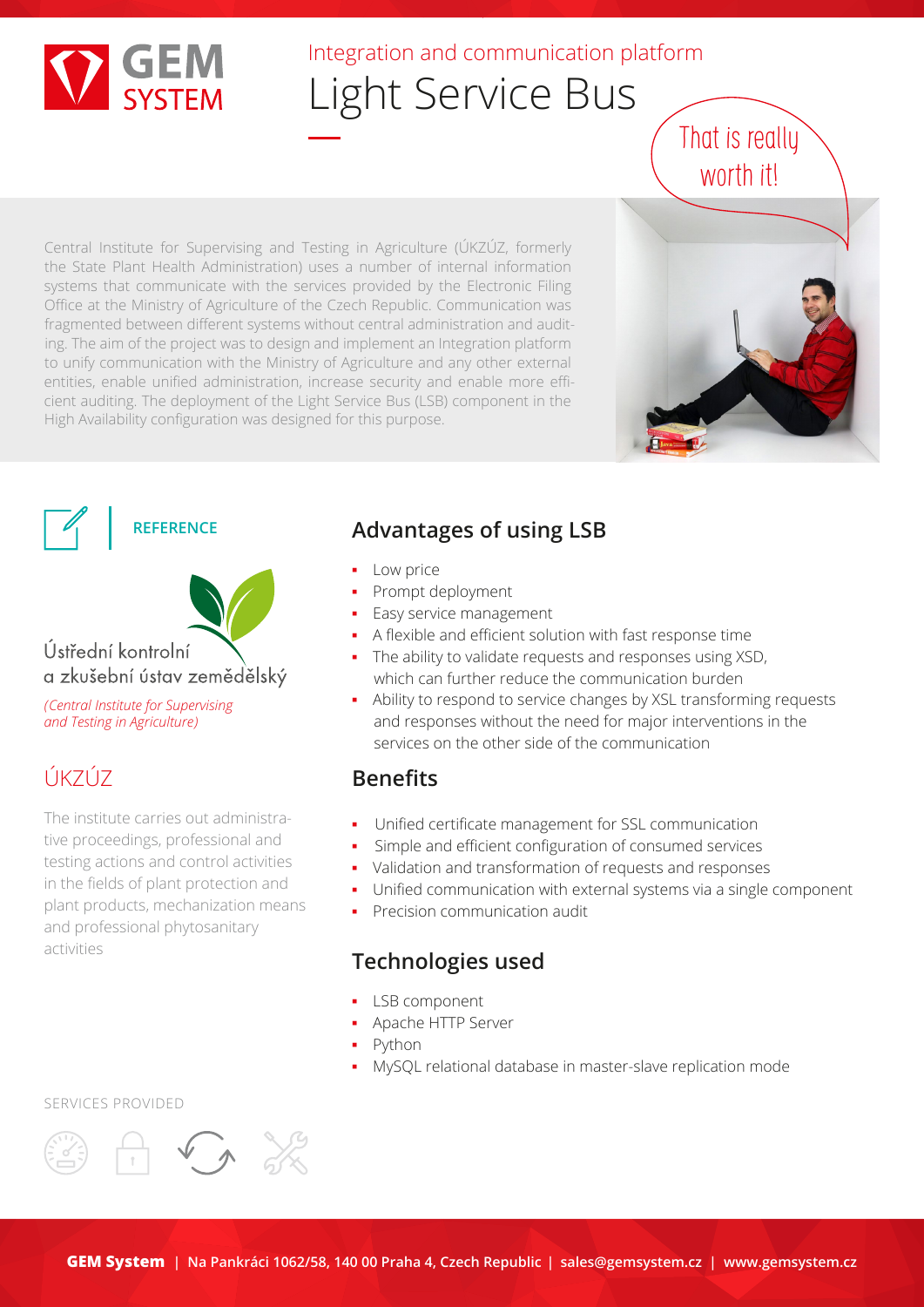

## Integration and communication platform

# Light Service Bus

Central Institute for Supervising and Testing in Agriculture (ÚKZÚZ, formerly the State Plant Health Administration) uses a number of internal information systems that communicate with the services provided by the Electronic Filing Office at the Ministry of Agriculture of the Czech Republic. Communication was fragmented between different systems without central administration and auditing. The aim of the project was to design and implement an Integration platform to unify communication with the Ministry of Agriculture and any other external entities, enable unified administration, increase security and enable more efficient auditing. The deployment of the Light Service Bus (LSB) component in the High Availability configuration was designed for this purpose.







*(Central Institute for Supervising and Testing in Agriculture)*

# ÚKZÚZ

The institute carries out administrative proceedings, professional and testing actions and control activities in the fields of plant protection and plant products, mechanization means and professional phytosanitary activities

### **Advantages of using LSB**

- **Low price**
- Prompt deployment
- **Easy service management**
- A flexible and efficient solution with fast response time
- The ability to validate requests and responses using XSD, which can further reduce the communication burden
- Ability to respond to service changes by XSL transforming requests and responses without the need for major interventions in the services on the other side of the communication

#### **Benefits**

- Unified certificate management for SSL communication
- Simple and efficient configuration of consumed services
- Validation and transformation of requests and responses
- Unified communication with external systems via a single component
	- **Precision communication audit**

#### **Technologies used**

- LSB component
- Apache HTTP Server
- Python
- MySQL relational database in master-slave replication mode

SERVICES PROVIDED